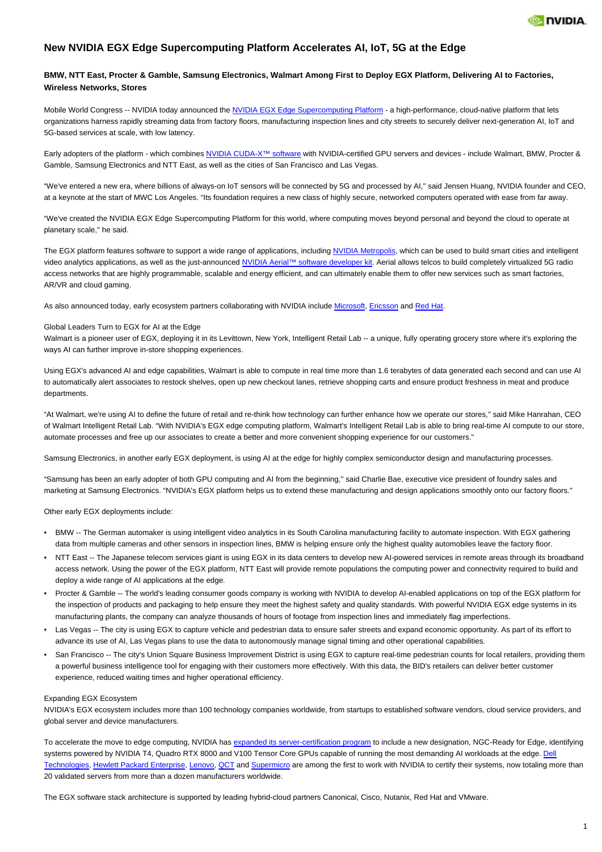

# **New NVIDIA EGX Edge Supercomputing Platform Accelerates AI, IoT, 5G at the Edge**

# **BMW, NTT East, Procter & Gamble, Samsung Electronics, Walmart Among First to Deploy EGX Platform, Delivering AI to Factories, Wireless Networks, Stores**

Mobile World Congress -- NVIDIA today announced the [NVIDIA EGX Edge Supercomputing Platform](https://www.nvidia.com/en-us/data-center/products/egx-edge-computing/) - a high-performance, cloud-native platform that lets organizations harness rapidly streaming data from factory floors, manufacturing inspection lines and city streets to securely deliver next-generation AI, IoT and 5G-based services at scale, with low latency.

Early adopters of the platform - which combines [NVIDIA CUDA-X™ software](https://www.nvidia.com/en-us/technologies/cuda-x/) with NVIDIA-certified GPU servers and devices - include Walmart, BMW, Procter & Gamble, Samsung Electronics and NTT East, as well as the cities of San Francisco and Las Vegas.

"We've entered a new era, where billions of always-on IoT sensors will be connected by 5G and processed by AI,'' said Jensen Huang, NVIDIA founder and CEO, at a keynote at the start of MWC Los Angeles. "Its foundation requires a new class of highly secure, networked computers operated with ease from far away.

"We've created the NVIDIA EGX Edge Supercomputing Platform for this world, where computing moves beyond personal and beyond the cloud to operate at planetary scale,'' he said.

The EGX platform features software to support a wide range of applications, including [NVIDIA Metropolis](https://www.nvidia.com/en-us/deep-learning-ai/industries/ai-cities/), which can be used to build smart cities and intelligent video analytics applications, as well as the just-announced [NVIDIA Aerial™ software developer kit](https://blogs.nvidia.com/blog/2019/10/21/aerial-application-framework-5g-networks). Aerial allows telcos to build completely virtualized 5G radio access networks that are highly programmable, scalable and energy efficient, and can ultimately enable them to offer new services such as smart factories, AR/VR and cloud gaming.

As also announced today, early ecosystem partners collaborating with NVIDIA include [Microsoft](https://nvidianews.nvidia.com/news/nvidia-with-microsoft-announces-technology-collaboration-for-era-of-intelligent-edge), [Ericsson](https://nvidianews.nvidia.com/news/ericsson-and-nvidia-collaborate-to-accelerate-virtualized-5g-radio-access-networks-with-gpus) and [Red Hat](https://nvidianews.nvidia.com/news/red-hat-and-nvidia-expand-alliance-to-bring-high-performance-software-defined-ran-to-telecom-industry).

## Global Leaders Turn to EGX for AI at the Edge

Walmart is a pioneer user of EGX, deploying it in its Levittown, New York, Intelligent Retail Lab -- a unique, fully operating grocery store where it's exploring the ways AI can further improve in-store shopping experiences.

Using EGX's advanced AI and edge capabilities, Walmart is able to compute in real time more than 1.6 terabytes of data generated each second and can use AI to automatically alert associates to restock shelves, open up new checkout lanes, retrieve shopping carts and ensure product freshness in meat and produce departments.

"At Walmart, we're using AI to define the future of retail and re-think how technology can further enhance how we operate our stores,'' said Mike Hanrahan, CEO of Walmart Intelligent Retail Lab. "With NVIDIA's EGX edge computing platform, Walmart's Intelligent Retail Lab is able to bring real-time AI compute to our store, automate processes and free up our associates to create a better and more convenient shopping experience for our customers.''

Samsung Electronics, in another early EGX deployment, is using AI at the edge for highly complex semiconductor design and manufacturing processes.

"Samsung has been an early adopter of both GPU computing and AI from the beginning,'' said Charlie Bae, executive vice president of foundry sales and marketing at Samsung Electronics. "NVIDIA's EGX platform helps us to extend these manufacturing and design applications smoothly onto our factory floors.''

Other early EGX deployments include:

- BMW -- The German automaker is using intelligent video analytics in its South Carolina manufacturing facility to automate inspection. With EGX gathering data from multiple cameras and other sensors in inspection lines, BMW is helping ensure only the highest quality automobiles leave the factory floor.
- NTT East -- The Japanese telecom services giant is using EGX in its data centers to develop new AI-powered services in remote areas through its broadband access network. Using the power of the EGX platform, NTT East will provide remote populations the computing power and connectivity required to build and deploy a wide range of AI applications at the edge.
- Procter & Gamble -- The world's leading consumer goods company is working with NVIDIA to develop AI-enabled applications on top of the EGX platform for the inspection of products and packaging to help ensure they meet the highest safety and quality standards. With powerful NVIDIA EGX edge systems in its manufacturing plants, the company can analyze thousands of hours of footage from inspection lines and immediately flag imperfections.
- Las Vegas -- The city is using EGX to capture vehicle and pedestrian data to ensure safer streets and expand economic opportunity. As part of its effort to advance its use of AI, Las Vegas plans to use the data to autonomously manage signal timing and other operational capabilities.
- San Francisco -- The city's Union Square Business Improvement District is using EGX to capture real-time pedestrian counts for local retailers, providing them a powerful business intelligence tool for engaging with their customers more effectively. With this data, the BID's retailers can deliver better customer experience, reduced waiting times and higher operational efficiency.

## Expanding EGX Ecosystem

NVIDIA's EGX ecosystem includes more than 100 technology companies worldwide, from startups to established software vendors, cloud service providers, and global server and device manufacturers.

To accelerate the move to edge computing, NVIDIA has [expanded its server-certification program](https://blogs.nvidia.com/blog/2019/10/21/ai-edge-deployments-kubernetes) to include a new designation, NGC-Ready for Edge, identifying systems powered by NVIDIA T4, Quadro RTX 8000 and V100 Tensor Core GPUs capable of running the most demanding AI workloads at the edge. [Dell](https://medium.com/@NvidiaAI/rethinking-loss-prevention-in-retail-with-dell-technologies-nvidia-and-malong-ai-71844ad80622) [Technologies](https://medium.com/@NvidiaAI/rethinking-loss-prevention-in-retail-with-dell-technologies-nvidia-and-malong-ai-71844ad80622), [Hewlett Packard Enterprise](https://community.hpe.com/t5/Telecom-IQ/bg-p/TelecomIQ), [Lenovo,](https://www.lenovoxperience.com/newsDetail/283yi044hzgcdv7snkrmmx9o8y5dmv6ggvlv6s9wm4x5nb3e) [QCT](https://blog.qct.io/qct-brings-ai-to-the-edge-with-its-gpu-workload-optimized-product-portfolio/) and [Supermicro](https://www.supermicro.com/en/pressreleases/supermicro-servers-support-breakthrough-nvidia-egx-platform-delivering-ai-processing) are among the first to work with NVIDIA to certify their systems, now totaling more than 20 validated servers from more than a dozen manufacturers worldwide.

The EGX software stack architecture is supported by leading hybrid-cloud partners Canonical, Cisco, Nutanix, Red Hat and VMware.